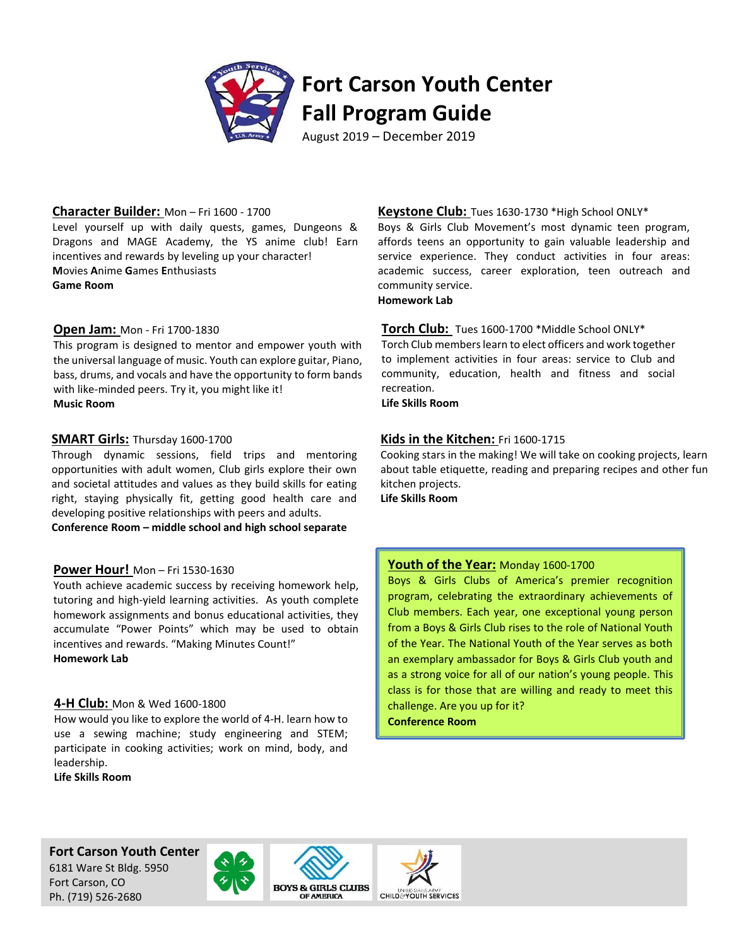

### **Character Builder:** Mon – Fri 1600 - 1700

Level yourself up with daily quests, games, Dungeons & Dragons and MAGE Academy, the YS anime club! Earn incentives and rewards by leveling up your character! **M**ovies **A**nime **G**ames **E**nthusiasts **Game Room**

### **Open Jam:** Mon - Fri 1700-1830

This program is designed to mentor and empower youth with the universal language of music. Youth can explore guitar, Piano, bass, drums, and vocals and have the opportunity to form bands with like-minded peers. Try it, you might like it! **Music Room**

### **SMART Girls:** Thursday 1600-1700

Through dynamic sessions, field trips and mentoring opportunities with adult women, Club girls explore their own and societal attitudes and values as they build skills for eating right, staying physically fit, getting good health care and developing positive relationships with peers and adults.

**Conference Room – middle school and high school separate** 

### **Power Hour!** Mon – Fri 1530-1630

Youth achieve academic success by receiving homework help, tutoring and high-yield learning activities. As youth complete homework assignments and bonus educational activities, they accumulate "Power Points" which may be used to obtain incentives and rewards. "Making Minutes Count!" **Homework Lab**

### **4-H Club:** Mon & Wed 1600-1800

How would you like to explore the world of 4-H. learn how to use a sewing machine; study engineering and STEM; participate in cooking activities; work on mind, body, and leadership.

**Life Skills Room**

### **Keystone Club:** Tues 1630-1730 \*High School ONLY\*

Boys & Girls Club Movement's most dynamic teen program, affords teens an opportunity to gain valuable leadership and service experience. They conduct activities in four areas: academic success, career exploration, teen outreach and community service.

**Homework Lab**

### **Torch Club:** Tues 1600-1700 \*Middle School ONLY\*

Torch Club members learn to elect officers and work together to implement activities in four areas: service to Club and community, education, health and fitness and social recreation.

**Life Skills Room**

### **Kids in the Kitchen:** Fri 1600-1715

Cooking stars in the making! We will take on cooking projects, learn about table etiquette, reading and preparing recipes and other fun kitchen projects.

**Life Skills Room**

### **Youth of the Year:** Monday 1600-1700

Boys & Girls Clubs of America's premier recognition program, celebrating the extraordinary achievements of Club members. Each year, one exceptional young person from a Boys & Girls Club rises to the role of National Youth of the Year. The National Youth of the Year serves as both an exemplary ambassador for Boys & Girls Club youth and as a strong voice for all of our nation's young people. This class is for those that are willing and ready to meet this challenge. Are you up for it?

**Conference Room**

**Fort Carson Youth Center**

6181 Ware St Bldg. 5950 Fort Carson, CO Ph. (719) 526-2680